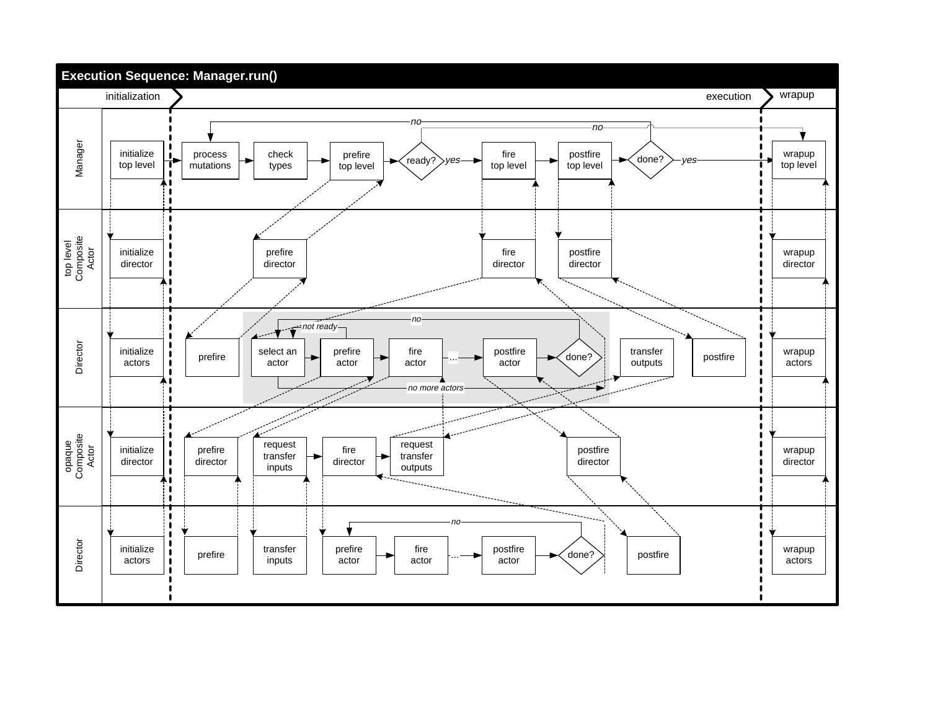